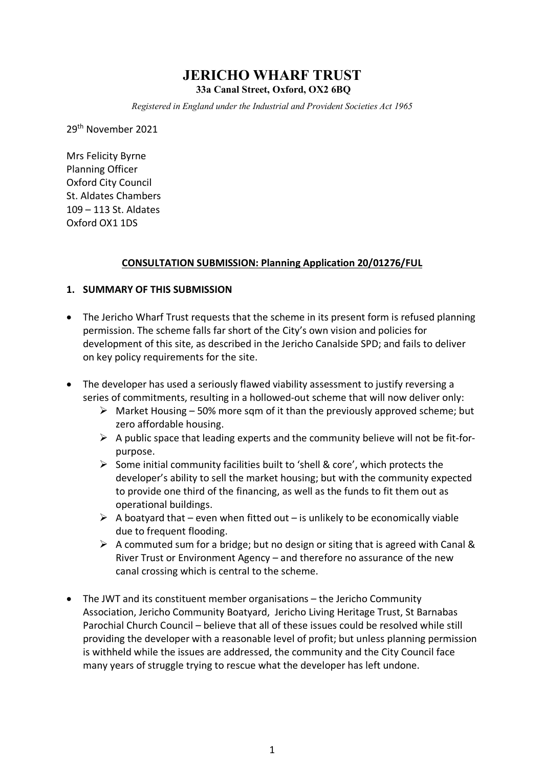# **JERICHO WHARF TRUST**

**33a Canal Street, Oxford, OX2 6BQ**

*Registered in England under the Industrial and Provident Societies Act 1965*

29th November 2021

Mrs Felicity Byrne Planning Officer Oxford City Council St. Aldates Chambers 109 – 113 St. Aldates Oxford OX1 1DS

# **CONSULTATION SUBMISSION: Planning Application 20/01276/FUL**

# **1. SUMMARY OF THIS SUBMISSION**

- The Jericho Wharf Trust requests that the scheme in its present form is refused planning permission. The scheme falls far short of the City's own vision and policies for development of this site, as described in the Jericho Canalside SPD; and fails to deliver on key policy requirements for the site.
- The developer has used a seriously flawed viability assessment to justify reversing a series of commitments, resulting in a hollowed-out scheme that will now deliver only:
	- $\triangleright$  Market Housing 50% more sqm of it than the previously approved scheme; but zero affordable housing.
	- $\triangleright$  A public space that leading experts and the community believe will not be fit-forpurpose.
	- $\triangleright$  Some initial community facilities built to 'shell & core', which protects the developer's ability to sell the market housing; but with the community expected to provide one third of the financing, as well as the funds to fit them out as operational buildings.
	- $\triangleright$  A boatyard that even when fitted out is unlikely to be economically viable due to frequent flooding.
	- $\triangleright$  A commuted sum for a bridge; but no design or siting that is agreed with Canal & River Trust or Environment Agency – and therefore no assurance of the new canal crossing which is central to the scheme.
- The JWT and its constituent member organisations the Jericho Community Association, Jericho Community Boatyard, Jericho Living Heritage Trust, St Barnabas Parochial Church Council – believe that all of these issues could be resolved while still providing the developer with a reasonable level of profit; but unless planning permission is withheld while the issues are addressed, the community and the City Council face many years of struggle trying to rescue what the developer has left undone.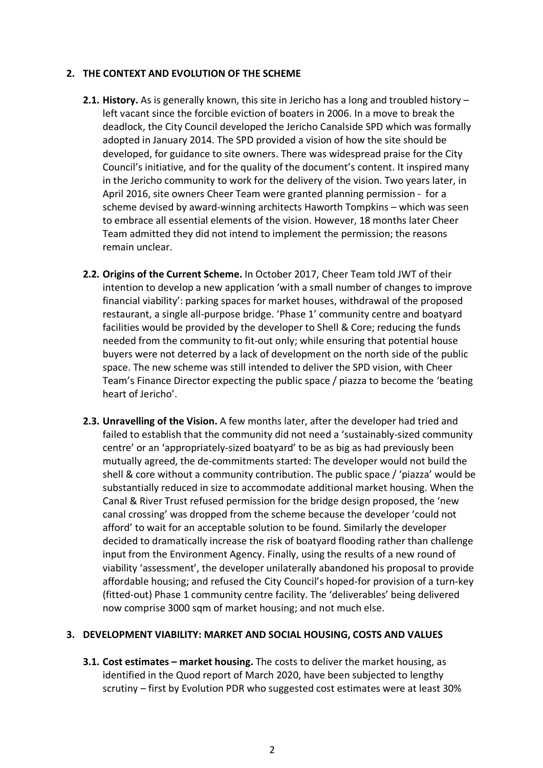# **2. THE CONTEXT AND EVOLUTION OF THE SCHEME**

- **2.1. History.** As is generally known, this site in Jericho has a long and troubled history left vacant since the forcible eviction of boaters in 2006. In a move to break the deadlock, the City Council developed the Jericho Canalside SPD which was formally adopted in January 2014. The SPD provided a vision of how the site should be developed, for guidance to site owners. There was widespread praise for the City Council's initiative, and for the quality of the document's content. It inspired many in the Jericho community to work for the delivery of the vision. Two years later, in April 2016, site owners Cheer Team were granted planning permission - for a scheme devised by award-winning architects Haworth Tompkins – which was seen to embrace all essential elements of the vision. However, 18 months later Cheer Team admitted they did not intend to implement the permission; the reasons remain unclear.
- **2.2. Origins of the Current Scheme.** In October 2017, Cheer Team told JWT of their intention to develop a new application 'with a small number of changes to improve financial viability': parking spaces for market houses, withdrawal of the proposed restaurant, a single all-purpose bridge. 'Phase 1' community centre and boatyard facilities would be provided by the developer to Shell & Core; reducing the funds needed from the community to fit-out only; while ensuring that potential house buyers were not deterred by a lack of development on the north side of the public space. The new scheme was still intended to deliver the SPD vision, with Cheer Team's Finance Director expecting the public space / piazza to become the 'beating heart of Jericho'.
- **2.3. Unravelling of the Vision.** A few months later, after the developer had tried and failed to establish that the community did not need a 'sustainably-sized community centre' or an 'appropriately-sized boatyard' to be as big as had previously been mutually agreed, the de-commitments started: The developer would not build the shell & core without a community contribution. The public space / 'piazza' would be substantially reduced in size to accommodate additional market housing. When the Canal & River Trust refused permission for the bridge design proposed, the 'new canal crossing' was dropped from the scheme because the developer 'could not afford' to wait for an acceptable solution to be found. Similarly the developer decided to dramatically increase the risk of boatyard flooding rather than challenge input from the Environment Agency. Finally, using the results of a new round of viability 'assessment', the developer unilaterally abandoned his proposal to provide affordable housing; and refused the City Council's hoped-for provision of a turn-key (fitted-out) Phase 1 community centre facility. The 'deliverables' being delivered now comprise 3000 sqm of market housing; and not much else.

# **3. DEVELOPMENT VIABILITY: MARKET AND SOCIAL HOUSING, COSTS AND VALUES**

**3.1. Cost estimates – market housing.** The costs to deliver the market housing, as identified in the Quod report of March 2020, have been subjected to lengthy scrutiny – first by Evolution PDR who suggested cost estimates were at least 30%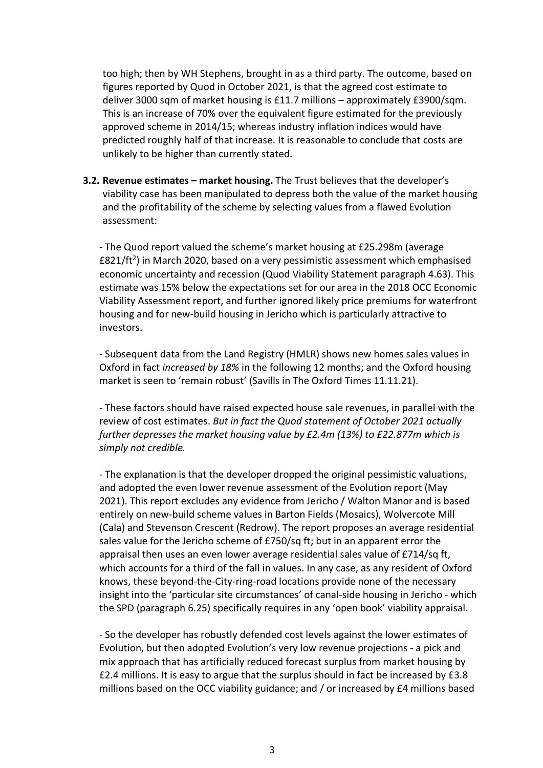too high; then by WH Stephens, brought in as a third party. The outcome, based on figures reported by Quod in October 2021, is that the agreed cost estimate to deliver 3000 sqm of market housing is £11.7 millions – approximately £3900/sqm. This is an increase of 70% over the equivalent figure estimated for the previously approved scheme in 2014/15; whereas industry inflation indices would have predicted roughly half of that increase. It is reasonable to conclude that costs are unlikely to be higher than currently stated.

**3.2. Revenue estimates – market housing.** The Trust believes that the developer's viability case has been manipulated to depress both the value of the market housing and the profitability of the scheme by selecting values from a flawed Evolution assessment:

- The Quod report valued the scheme's market housing at £25.298m (average  $E821/ft<sup>2</sup>$ ) in March 2020, based on a very pessimistic assessment which emphasised economic uncertainty and recession (Quod Viability Statement paragraph 4.63). This estimate was 15% below the expectations set for our area in the 2018 OCC Economic Viability Assessment report, and further ignored likely price premiums for waterfront housing and for new-build housing in Jericho which is particularly attractive to investors.

- Subsequent data from the Land Registry (HMLR) shows new homes sales values in Oxford in fact *increased by 18%* in the following 12 months; and the Oxford housing market is seen to 'remain robust' (Savills in The Oxford Times 11.11.21).

- These factors should have raised expected house sale revenues, in parallel with the review of cost estimates. *But in fact the Quod statement of October 2021 actually further depresses the market housing value by £2.4m (13%) to £22.877m which is simply not credible.*

- The explanation is that the developer dropped the original pessimistic valuations, and adopted the even lower revenue assessment of the Evolution report (May 2021). This report excludes any evidence from Jericho / Walton Manor and is based entirely on new-build scheme values in Barton Fields (Mosaics), Wolvercote Mill (Cala) and Stevenson Crescent (Redrow). The report proposes an average residential sales value for the Jericho scheme of £750/sq ft; but in an apparent error the appraisal then uses an even lower average residential sales value of £714/sq ft, which accounts for a third of the fall in values. In any case, as any resident of Oxford knows, these beyond-the-City-ring-road locations provide none of the necessary insight into the 'particular site circumstances' of canal-side housing in Jericho - which the SPD (paragraph 6.25) specifically requires in any 'open book' viability appraisal.

- So the developer has robustly defended cost levels against the lower estimates of Evolution, but then adopted Evolution's very low revenue projections - a pick and mix approach that has artificially reduced forecast surplus from market housing by £2.4 millions. It is easy to argue that the surplus should in fact be increased by £3.8 millions based on the OCC viability guidance; and / or increased by £4 millions based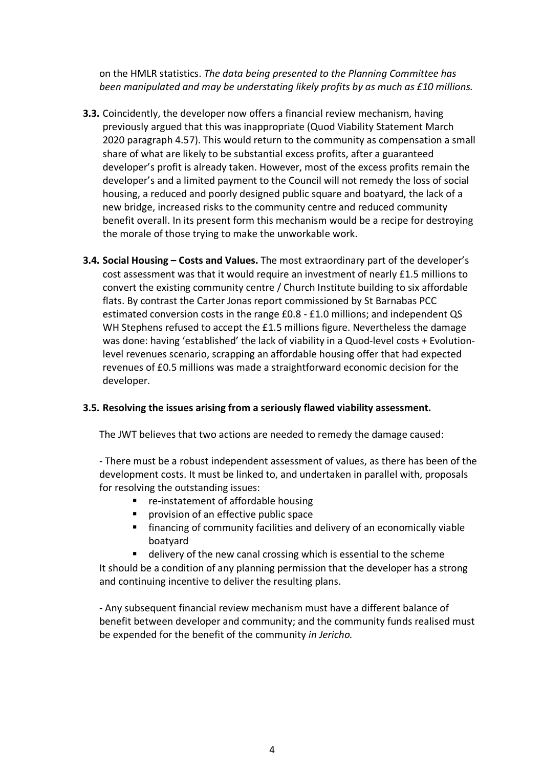on the HMLR statistics. *The data being presented to the Planning Committee has been manipulated and may be understating likely profits by as much as £10 millions.*

- **3.3.** Coincidently, the developer now offers a financial review mechanism, having previously argued that this was inappropriate (Quod Viability Statement March 2020 paragraph 4.57). This would return to the community as compensation a small share of what are likely to be substantial excess profits, after a guaranteed developer's profit is already taken. However, most of the excess profits remain the developer's and a limited payment to the Council will not remedy the loss of social housing, a reduced and poorly designed public square and boatyard, the lack of a new bridge, increased risks to the community centre and reduced community benefit overall. In its present form this mechanism would be a recipe for destroying the morale of those trying to make the unworkable work.
- **3.4. Social Housing – Costs and Values.** The most extraordinary part of the developer's cost assessment was that it would require an investment of nearly £1.5 millions to convert the existing community centre / Church Institute building to six affordable flats. By contrast the Carter Jonas report commissioned by St Barnabas PCC estimated conversion costs in the range £0.8 - £1.0 millions; and independent QS WH Stephens refused to accept the £1.5 millions figure. Nevertheless the damage was done: having 'established' the lack of viability in a Quod-level costs + Evolutionlevel revenues scenario, scrapping an affordable housing offer that had expected revenues of £0.5 millions was made a straightforward economic decision for the developer.

# **3.5. Resolving the issues arising from a seriously flawed viability assessment.**

The JWT believes that two actions are needed to remedy the damage caused:

- There must be a robust independent assessment of values, as there has been of the development costs. It must be linked to, and undertaken in parallel with, proposals for resolving the outstanding issues:

- re-instatement of affordable housing
- provision of an effective public space
- financing of community facilities and delivery of an economically viable boatyard
- delivery of the new canal crossing which is essential to the scheme

It should be a condition of any planning permission that the developer has a strong and continuing incentive to deliver the resulting plans.

- Any subsequent financial review mechanism must have a different balance of benefit between developer and community; and the community funds realised must be expended for the benefit of the community *in Jericho.*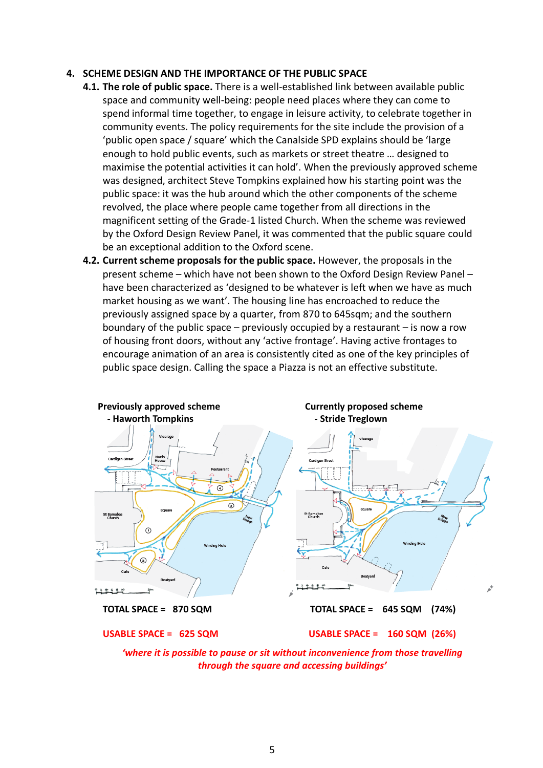#### **4. SCHEME DESIGN AND THE IMPORTANCE OF THE PUBLIC SPACE**

- **4.1. The role of public space.** There is a well-established link between available public space and community well-being: people need places where they can come to spend informal time together, to engage in leisure activity, to celebrate together in community events. The policy requirements for the site include the provision of a 'public open space / square' which the Canalside SPD explains should be 'large enough to hold public events, such as markets or street theatre … designed to maximise the potential activities it can hold'. When the previously approved scheme was designed, architect Steve Tompkins explained how his starting point was the public space: it was the hub around which the other components of the scheme revolved, the place where people came together from all directions in the magnificent setting of the Grade-1 listed Church. When the scheme was reviewed by the Oxford Design Review Panel, it was commented that the public square could be an exceptional addition to the Oxford scene.
- **4.2. Current scheme proposals for the public space.** However, the proposals in the present scheme – which have not been shown to the Oxford Design Review Panel – have been characterized as 'designed to be whatever is left when we have as much market housing as we want'. The housing line has encroached to reduce the previously assigned space by a quarter, from 870 to 645sqm; and the southern boundary of the public space – previously occupied by a restaurant – is now a row of housing front doors, without any 'active frontage'. Having active frontages to encourage animation of an area is consistently cited as one of the key principles of public space design. Calling the space a Piazza is not an effective substitute.



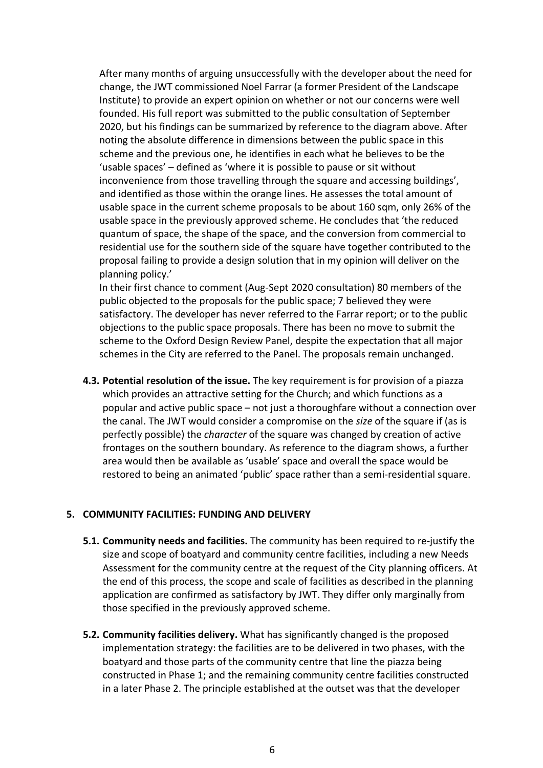After many months of arguing unsuccessfully with the developer about the need for change, the JWT commissioned Noel Farrar (a former President of the Landscape Institute) to provide an expert opinion on whether or not our concerns were well founded. His full report was submitted to the public consultation of September 2020, but his findings can be summarized by reference to the diagram above. After noting the absolute difference in dimensions between the public space in this scheme and the previous one, he identifies in each what he believes to be the 'usable spaces' – defined as 'where it is possible to pause or sit without inconvenience from those travelling through the square and accessing buildings', and identified as those within the orange lines. He assesses the total amount of usable space in the current scheme proposals to be about 160 sqm, only 26% of the usable space in the previously approved scheme. He concludes that 'the reduced quantum of space, the shape of the space, and the conversion from commercial to residential use for the southern side of the square have together contributed to the proposal failing to provide a design solution that in my opinion will deliver on the planning policy.'

In their first chance to comment (Aug-Sept 2020 consultation) 80 members of the public objected to the proposals for the public space; 7 believed they were satisfactory. The developer has never referred to the Farrar report; or to the public objections to the public space proposals. There has been no move to submit the scheme to the Oxford Design Review Panel, despite the expectation that all major schemes in the City are referred to the Panel. The proposals remain unchanged.

**4.3. Potential resolution of the issue.** The key requirement is for provision of a piazza which provides an attractive setting for the Church; and which functions as a popular and active public space – not just a thoroughfare without a connection over the canal. The JWT would consider a compromise on the *size* of the square if (as is perfectly possible) the *character* of the square was changed by creation of active frontages on the southern boundary. As reference to the diagram shows, a further area would then be available as 'usable' space and overall the space would be restored to being an animated 'public' space rather than a semi-residential square.

# **5. COMMUNITY FACILITIES: FUNDING AND DELIVERY**

- **5.1. Community needs and facilities.** The community has been required to re-justify the size and scope of boatyard and community centre facilities, including a new Needs Assessment for the community centre at the request of the City planning officers. At the end of this process, the scope and scale of facilities as described in the planning application are confirmed as satisfactory by JWT. They differ only marginally from those specified in the previously approved scheme.
- **5.2. Community facilities delivery.** What has significantly changed is the proposed implementation strategy: the facilities are to be delivered in two phases, with the boatyard and those parts of the community centre that line the piazza being constructed in Phase 1; and the remaining community centre facilities constructed in a later Phase 2. The principle established at the outset was that the developer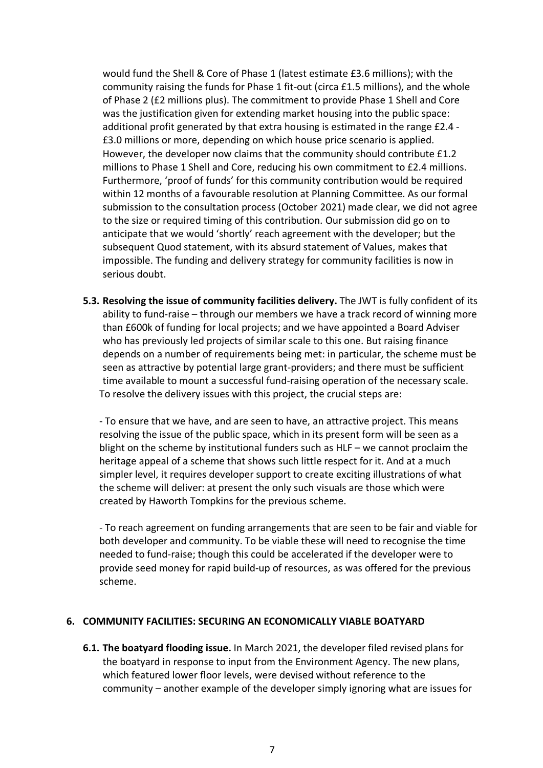would fund the Shell & Core of Phase 1 (latest estimate £3.6 millions); with the community raising the funds for Phase 1 fit-out (circa £1.5 millions), and the whole of Phase 2 (£2 millions plus). The commitment to provide Phase 1 Shell and Core was the justification given for extending market housing into the public space: additional profit generated by that extra housing is estimated in the range £2.4 - £3.0 millions or more, depending on which house price scenario is applied. However, the developer now claims that the community should contribute £1.2 millions to Phase 1 Shell and Core, reducing his own commitment to £2.4 millions. Furthermore, 'proof of funds' for this community contribution would be required within 12 months of a favourable resolution at Planning Committee. As our formal submission to the consultation process (October 2021) made clear, we did not agree to the size or required timing of this contribution. Our submission did go on to anticipate that we would 'shortly' reach agreement with the developer; but the subsequent Quod statement, with its absurd statement of Values, makes that impossible. The funding and delivery strategy for community facilities is now in serious doubt.

**5.3. Resolving the issue of community facilities delivery.** The JWT is fully confident of its ability to fund-raise – through our members we have a track record of winning more than £600k of funding for local projects; and we have appointed a Board Adviser who has previously led projects of similar scale to this one. But raising finance depends on a number of requirements being met: in particular, the scheme must be seen as attractive by potential large grant-providers; and there must be sufficient time available to mount a successful fund-raising operation of the necessary scale. To resolve the delivery issues with this project, the crucial steps are:

- To ensure that we have, and are seen to have, an attractive project. This means resolving the issue of the public space, which in its present form will be seen as a blight on the scheme by institutional funders such as HLF – we cannot proclaim the heritage appeal of a scheme that shows such little respect for it. And at a much simpler level, it requires developer support to create exciting illustrations of what the scheme will deliver: at present the only such visuals are those which were created by Haworth Tompkins for the previous scheme.

- To reach agreement on funding arrangements that are seen to be fair and viable for both developer and community. To be viable these will need to recognise the time needed to fund-raise; though this could be accelerated if the developer were to provide seed money for rapid build-up of resources, as was offered for the previous scheme.

# **6. COMMUNITY FACILITIES: SECURING AN ECONOMICALLY VIABLE BOATYARD**

**6.1. The boatyard flooding issue.** In March 2021, the developer filed revised plans for the boatyard in response to input from the Environment Agency. The new plans, which featured lower floor levels, were devised without reference to the community – another example of the developer simply ignoring what are issues for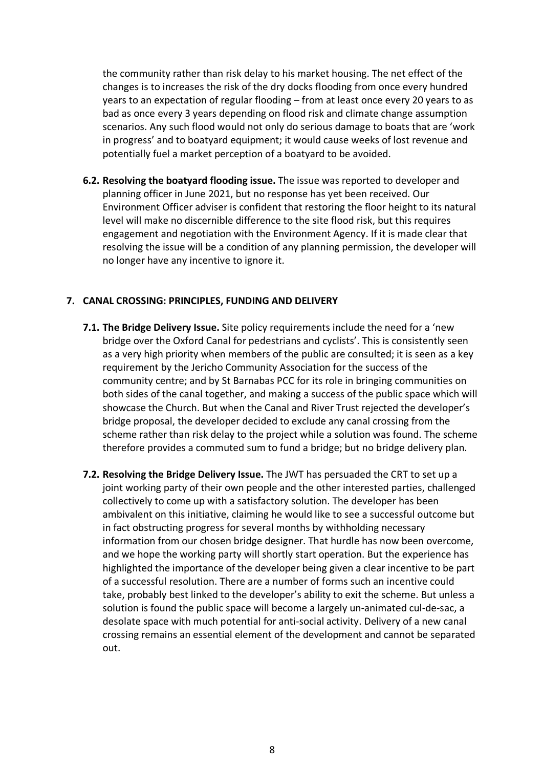the community rather than risk delay to his market housing. The net effect of the changes is to increases the risk of the dry docks flooding from once every hundred years to an expectation of regular flooding – from at least once every 20 years to as bad as once every 3 years depending on flood risk and climate change assumption scenarios. Any such flood would not only do serious damage to boats that are 'work in progress' and to boatyard equipment; it would cause weeks of lost revenue and potentially fuel a market perception of a boatyard to be avoided.

**6.2. Resolving the boatyard flooding issue.** The issue was reported to developer and planning officer in June 2021, but no response has yet been received. Our Environment Officer adviser is confident that restoring the floor height to its natural level will make no discernible difference to the site flood risk, but this requires engagement and negotiation with the Environment Agency. If it is made clear that resolving the issue will be a condition of any planning permission, the developer will no longer have any incentive to ignore it.

# **7. CANAL CROSSING: PRINCIPLES, FUNDING AND DELIVERY**

- **7.1. The Bridge Delivery Issue.** Site policy requirements include the need for a 'new bridge over the Oxford Canal for pedestrians and cyclists'. This is consistently seen as a very high priority when members of the public are consulted; it is seen as a key requirement by the Jericho Community Association for the success of the community centre; and by St Barnabas PCC for its role in bringing communities on both sides of the canal together, and making a success of the public space which will showcase the Church. But when the Canal and River Trust rejected the developer's bridge proposal, the developer decided to exclude any canal crossing from the scheme rather than risk delay to the project while a solution was found. The scheme therefore provides a commuted sum to fund a bridge; but no bridge delivery plan.
- **7.2. Resolving the Bridge Delivery Issue.** The JWT has persuaded the CRT to set up a joint working party of their own people and the other interested parties, challenged collectively to come up with a satisfactory solution. The developer has been ambivalent on this initiative, claiming he would like to see a successful outcome but in fact obstructing progress for several months by withholding necessary information from our chosen bridge designer. That hurdle has now been overcome, and we hope the working party will shortly start operation. But the experience has highlighted the importance of the developer being given a clear incentive to be part of a successful resolution. There are a number of forms such an incentive could take, probably best linked to the developer's ability to exit the scheme. But unless a solution is found the public space will become a largely un-animated cul-de-sac, a desolate space with much potential for anti-social activity. Delivery of a new canal crossing remains an essential element of the development and cannot be separated out.